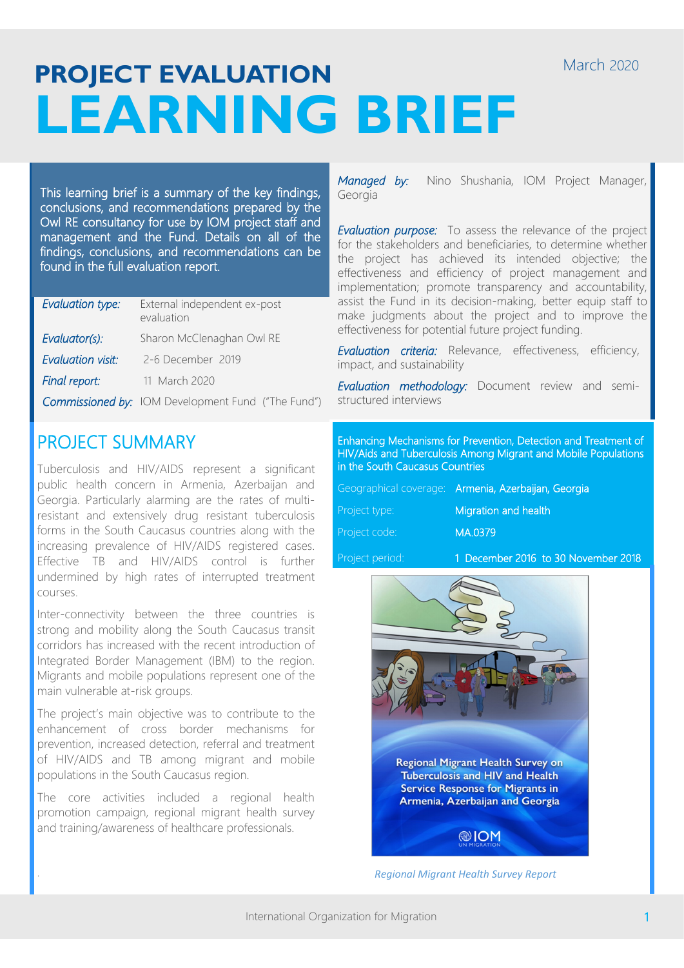# **PROJECT EVALUATION LEARNING BRIEF**

This learning brief is a summary of the key findings, conclusions, and recommendations prepared by the Owl RE consultancy for use by IOM project staff and management and the Fund. Details on all of the findings, conclusions, and recommendations can be found in the full evaluation report.

| Evaluation type:         | External independent ex-post<br>evaluation                |
|--------------------------|-----------------------------------------------------------|
| Evaluator(s):            | Sharon McClenaghan Owl RE                                 |
| <b>Evaluation visit:</b> | 2-6 December 2019                                         |
| Final report:            | 11 March 2020                                             |
|                          | <b>Commissioned by:</b> IOM Development Fund ("The Fund") |

## PROJECT SUMMARY

Tuberculosis and HIV/AIDS represent a significant public health concern in Armenia, Azerbaijan and Georgia. Particularly alarming are the rates of multiresistant and extensively drug resistant tuberculosis forms in the South Caucasus countries along with the increasing prevalence of HIV/AIDS registered cases. Effective TB and HIV/AIDS control is further undermined by high rates of interrupted treatment courses.

Inter-connectivity between the three countries is strong and mobility along the South Caucasus transit corridors has increased with the recent introduction of Integrated Border Management (IBM) to the region. Migrants and mobile populations represent one of the main vulnerable at-risk groups.

The project's main objective was to contribute to the enhancement of cross border mechanisms for prevention, increased detection, referral and treatment of HIV/AIDS and TB among migrant and mobile populations in the South Caucasus region.

The core activities included a regional health promotion campaign, regional migrant health survey and training/awareness of healthcare professionals.

.

*Managed by:* Nino Shushania, IOM Project Manager, Georgia

*Evaluation purpose:* To assess the relevance of the project for the stakeholders and beneficiaries, to determine whether the project has achieved its intended objective; the effectiveness and efficiency of project management and implementation; promote transparency and accountability, assist the Fund in its decision-making, better equip staff to make judgments about the project and to improve the effectiveness for potential future project funding.

*Evaluation criteria:* Relevance, effectiveness, efficiency, impact, and sustainability

*Evaluation methodology:* Document review and semistructured interviews

Enhancing Mechanisms for Prevention, Detection and Treatment of HIV/Aids and Tuberculosis Among Migrant and Mobile Populations in the South Caucasus Countries

|                 | Geographical coverage: Armenia, Azerbaijan, Georgia |
|-----------------|-----------------------------------------------------|
| Project type:   | Migration and health                                |
| Project code:   | MA.0379                                             |
| Project period: | 1 December 2016 to 30 November 2018                 |



*Regional Migrant Health Survey Report*